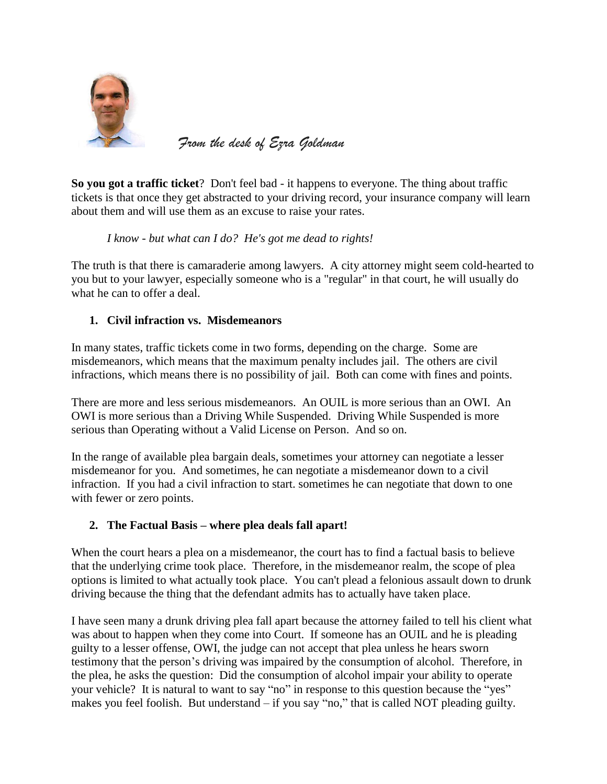

*From the desk of Ezra Goldman*

**So you got a traffic ticket**? Don't feel bad - it happens to everyone. The thing about traffic tickets is that once they get abstracted to your driving record, your insurance company will learn about them and will use them as an excuse to raise your rates.

#### *I know - but what can I do? He's got me dead to rights!*

The truth is that there is camaraderie among lawyers. A city attorney might seem cold-hearted to you but to your lawyer, especially someone who is a "regular" in that court, he will usually do what he can to offer a deal.

### **1. Civil infraction vs. Misdemeanors**

In many states, traffic tickets come in two forms, depending on the charge. Some are misdemeanors, which means that the maximum penalty includes jail. The others are civil infractions, which means there is no possibility of jail. Both can come with fines and points.

There are more and less serious misdemeanors. An OUIL is more serious than an OWI. An OWI is more serious than a Driving While Suspended. Driving While Suspended is more serious than Operating without a Valid License on Person. And so on.

In the range of available plea bargain deals, sometimes your attorney can negotiate a lesser misdemeanor for you. And sometimes, he can negotiate a misdemeanor down to a civil infraction. If you had a civil infraction to start. sometimes he can negotiate that down to one with fewer or zero points.

#### **2. The Factual Basis – where plea deals fall apart!**

When the court hears a plea on a misdemeanor, the court has to find a factual basis to believe that the underlying crime took place. Therefore, in the misdemeanor realm, the scope of plea options is limited to what actually took place. You can't plead a felonious assault down to drunk driving because the thing that the defendant admits has to actually have taken place.

I have seen many a drunk driving plea fall apart because the attorney failed to tell his client what was about to happen when they come into Court. If someone has an OUIL and he is pleading guilty to a lesser offense, OWI, the judge can not accept that plea unless he hears sworn testimony that the person's driving was impaired by the consumption of alcohol. Therefore, in the plea, he asks the question: Did the consumption of alcohol impair your ability to operate your vehicle? It is natural to want to say "no" in response to this question because the "yes" makes you feel foolish. But understand – if you say "no," that is called NOT pleading guilty.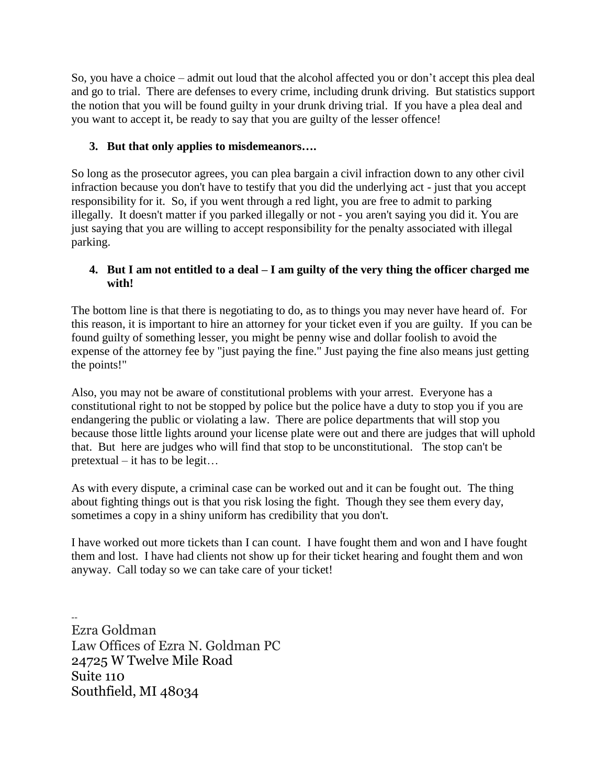So, you have a choice – admit out loud that the alcohol affected you or don't accept this plea deal and go to trial. There are defenses to every crime, including drunk driving. But statistics support the notion that you will be found guilty in your drunk driving trial. If you have a plea deal and you want to accept it, be ready to say that you are guilty of the lesser offence!

# **3. But that only applies to misdemeanors….**

So long as the prosecutor agrees, you can plea bargain a civil infraction down to any other civil infraction because you don't have to testify that you did the underlying act - just that you accept responsibility for it. So, if you went through a red light, you are free to admit to parking illegally. It doesn't matter if you parked illegally or not - you aren't saying you did it. You are just saying that you are willing to accept responsibility for the penalty associated with illegal parking.

## **4. But I am not entitled to a deal – I am guilty of the very thing the officer charged me with!**

The bottom line is that there is negotiating to do, as to things you may never have heard of. For this reason, it is important to hire an attorney for your ticket even if you are guilty. If you can be found guilty of something lesser, you might be penny wise and dollar foolish to avoid the expense of the attorney fee by "just paying the fine." Just paying the fine also means just getting the points!"

Also, you may not be aware of constitutional problems with your arrest. Everyone has a constitutional right to not be stopped by police but the police have a duty to stop you if you are endangering the public or violating a law. There are police departments that will stop you because those little lights around your license plate were out and there are judges that will uphold that. But here are judges who will find that stop to be unconstitutional. The stop can't be pretextual – it has to be legit…

As with every dispute, a criminal case can be worked out and it can be fought out. The thing about fighting things out is that you risk losing the fight. Though they see them every day, sometimes a copy in a shiny uniform has credibility that you don't.

I have worked out more tickets than I can count. I have fought them and won and I have fought them and lost. I have had clients not show up for their ticket hearing and fought them and won anyway. Call today so we can take care of your ticket!

-- Ezra Goldman Law Offices of Ezra N. Goldman PC 24725 W Twelve Mile Road Suite 110 Southfield, MI 48034